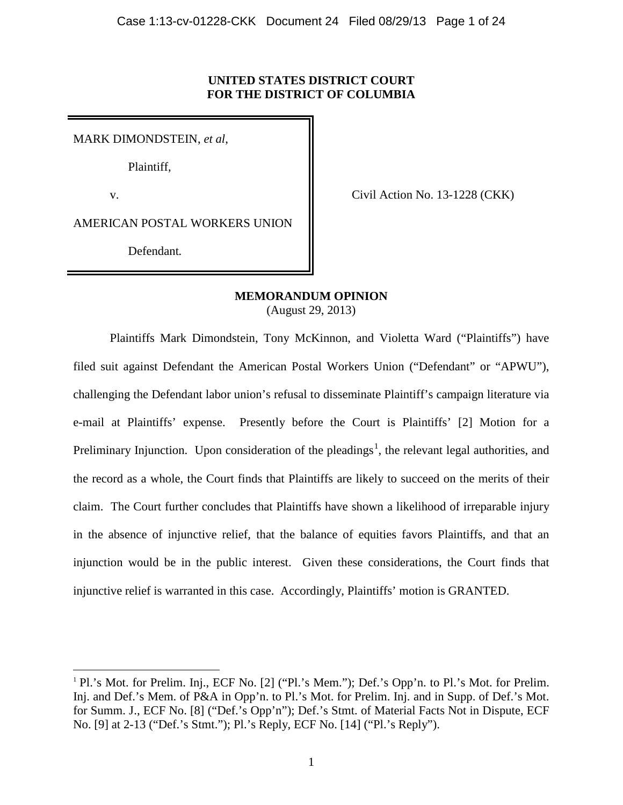# **UNITED STATES DISTRICT COURT FOR THE DISTRICT OF COLUMBIA**

MARK DIMONDSTEIN, *et al*,

Plaintiff,

v.

 $\overline{\phantom{a}}$ 

Civil Action No. 13-1228 (CKK)

AMERICAN POSTAL WORKERS UNION

Defendant*.*

# **MEMORANDUM OPINION**

(August 29, 2013)

Plaintiffs Mark Dimondstein, Tony McKinnon, and Violetta Ward ("Plaintiffs") have filed suit against Defendant the American Postal Workers Union ("Defendant" or "APWU"), challenging the Defendant labor union's refusal to disseminate Plaintiff's campaign literature via e-mail at Plaintiffs' expense. Presently before the Court is Plaintiffs' [2] Motion for a Preliminary Injunction. Upon consideration of the pleadings<sup>1</sup>, the relevant legal authorities, and the record as a whole, the Court finds that Plaintiffs are likely to succeed on the merits of their claim. The Court further concludes that Plaintiffs have shown a likelihood of irreparable injury in the absence of injunctive relief, that the balance of equities favors Plaintiffs, and that an injunction would be in the public interest. Given these considerations, the Court finds that injunctive relief is warranted in this case. Accordingly, Plaintiffs' motion is GRANTED.

<sup>&</sup>lt;sup>1</sup> Pl.'s Mot. for Prelim. Inj., ECF No. [2] ("Pl.'s Mem."); Def.'s Opp'n. to Pl.'s Mot. for Prelim. Inj. and Def.'s Mem. of P&A in Opp'n. to Pl.'s Mot. for Prelim. Inj. and in Supp. of Def.'s Mot. for Summ. J., ECF No. [8] ("Def.'s Opp'n"); Def.'s Stmt. of Material Facts Not in Dispute, ECF No. [9] at 2-13 ("Def.'s Stmt."); Pl.'s Reply, ECF No. [14] ("Pl.'s Reply").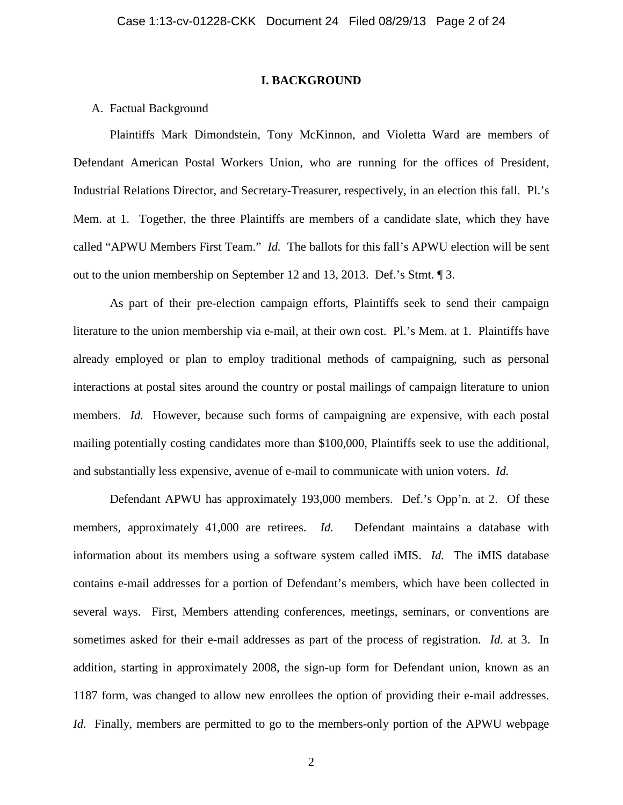## **I. BACKGROUND**

## A. Factual Background

Plaintiffs Mark Dimondstein, Tony McKinnon, and Violetta Ward are members of Defendant American Postal Workers Union, who are running for the offices of President, Industrial Relations Director, and Secretary-Treasurer, respectively, in an election this fall. Pl.'s Mem. at 1. Together, the three Plaintiffs are members of a candidate slate, which they have called "APWU Members First Team." *Id.* The ballots for this fall's APWU election will be sent out to the union membership on September 12 and 13, 2013. Def.'s Stmt. ¶ 3.

As part of their pre-election campaign efforts, Plaintiffs seek to send their campaign literature to the union membership via e-mail, at their own cost. Pl.'s Mem. at 1.Plaintiffs have already employed or plan to employ traditional methods of campaigning, such as personal interactions at postal sites around the country or postal mailings of campaign literature to union members. *Id.* However, because such forms of campaigning are expensive, with each postal mailing potentially costing candidates more than \$100,000, Plaintiffs seek to use the additional, and substantially less expensive, avenue of e-mail to communicate with union voters. *Id.*

Defendant APWU has approximately 193,000 members. Def.'s Opp'n. at 2. Of these members, approximately 41,000 are retirees. *Id*. Defendant maintains a database with information about its members using a software system called iMIS. *Id.* The iMIS database contains e-mail addresses for a portion of Defendant's members, which have been collected in several ways. First, Members attending conferences, meetings, seminars, or conventions are sometimes asked for their e-mail addresses as part of the process of registration. *Id.* at 3. In addition, starting in approximately 2008, the sign-up form for Defendant union, known as an 1187 form, was changed to allow new enrollees the option of providing their e-mail addresses. *Id.* Finally, members are permitted to go to the members-only portion of the APWU webpage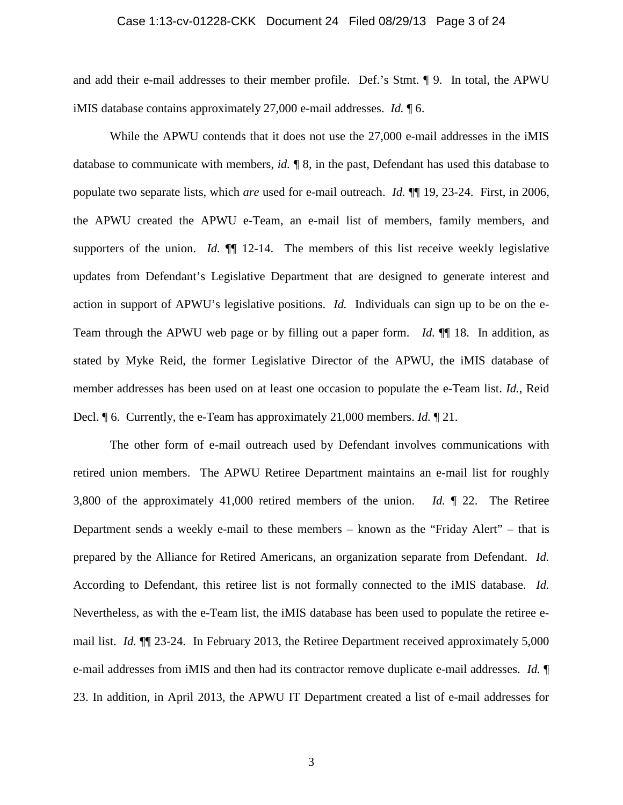## Case 1:13-cv-01228-CKK Document 24 Filed 08/29/13 Page 3 of 24

and add their e-mail addresses to their member profile. Def.'s Stmt. ¶ 9. In total, the APWU iMIS database contains approximately 27,000 e-mail addresses. *Id.* ¶ 6.

While the APWU contends that it does not use the 27,000 e-mail addresses in the iMIS database to communicate with members, *id.* ¶ 8, in the past, Defendant has used this database to populate two separate lists, which *are* used for e-mail outreach. *Id.* ¶¶ 19, 23-24. First, in 2006, the APWU created the APWU e-Team, an e-mail list of members, family members, and supporters of the union. *Id.*  $\llbracket \llbracket$  12-14. The members of this list receive weekly legislative updates from Defendant's Legislative Department that are designed to generate interest and action in support of APWU's legislative positions. *Id.* Individuals can sign up to be on the e-Team through the APWU web page or by filling out a paper form. *Id.* ¶¶ 18. In addition, as stated by Myke Reid, the former Legislative Director of the APWU, the iMIS database of member addresses has been used on at least one occasion to populate the e-Team list. *Id.*, Reid Decl. ¶ 6. Currently, the e-Team has approximately 21,000 members. *Id.* ¶ 21.

The other form of e-mail outreach used by Defendant involves communications with retired union members. The APWU Retiree Department maintains an e-mail list for roughly 3,800 of the approximately 41,000 retired members of the union. *Id.* ¶ 22. The Retiree Department sends a weekly e-mail to these members – known as the "Friday Alert" – that is prepared by the Alliance for Retired Americans, an organization separate from Defendant. *Id.* According to Defendant, this retiree list is not formally connected to the iMIS database. *Id.* Nevertheless, as with the e-Team list, the iMIS database has been used to populate the retiree email list. *Id.* ¶¶ 23-24. In February 2013, the Retiree Department received approximately 5,000 e-mail addresses from iMIS and then had its contractor remove duplicate e-mail addresses. *Id.* ¶ 23. In addition, in April 2013, the APWU IT Department created a list of e-mail addresses for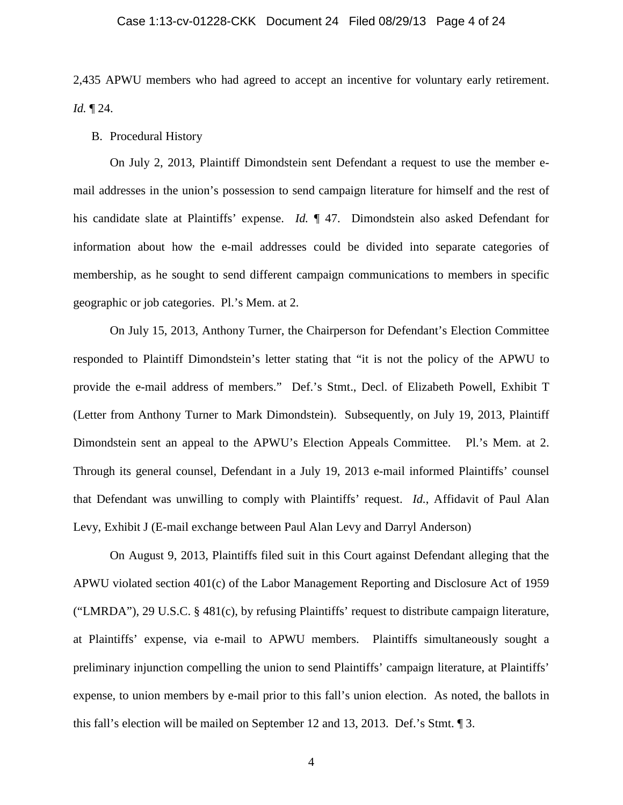## Case 1:13-cv-01228-CKK Document 24 Filed 08/29/13 Page 4 of 24

2,435 APWU members who had agreed to accept an incentive for voluntary early retirement. *Id.* ¶ 24.

# B. Procedural History

On July 2, 2013, Plaintiff Dimondstein sent Defendant a request to use the member email addresses in the union's possession to send campaign literature for himself and the rest of his candidate slate at Plaintiffs' expense. *Id.*  $\parallel$  47. Dimondstein also asked Defendant for information about how the e-mail addresses could be divided into separate categories of membership, as he sought to send different campaign communications to members in specific geographic or job categories. Pl.'s Mem. at 2.

On July 15, 2013, Anthony Turner, the Chairperson for Defendant's Election Committee responded to Plaintiff Dimondstein's letter stating that "it is not the policy of the APWU to provide the e-mail address of members." Def.'s Stmt., Decl. of Elizabeth Powell, Exhibit T (Letter from Anthony Turner to Mark Dimondstein). Subsequently, on July 19, 2013, Plaintiff Dimondstein sent an appeal to the APWU's Election Appeals Committee. Pl.'s Mem. at 2. Through its general counsel, Defendant in a July 19, 2013 e-mail informed Plaintiffs' counsel that Defendant was unwilling to comply with Plaintiffs' request. *Id.*, Affidavit of Paul Alan Levy, Exhibit J (E-mail exchange between Paul Alan Levy and Darryl Anderson)

On August 9, 2013, Plaintiffs filed suit in this Court against Defendant alleging that the APWU violated section 401(c) of the Labor Management Reporting and Disclosure Act of 1959 ("LMRDA"), 29 U.S.C. § 481(c), by refusing Plaintiffs' request to distribute campaign literature, at Plaintiffs' expense, via e-mail to APWU members. Plaintiffs simultaneously sought a preliminary injunction compelling the union to send Plaintiffs' campaign literature, at Plaintiffs' expense, to union members by e-mail prior to this fall's union election. As noted, the ballots in this fall's election will be mailed on September 12 and 13, 2013. Def.'s Stmt. ¶ 3.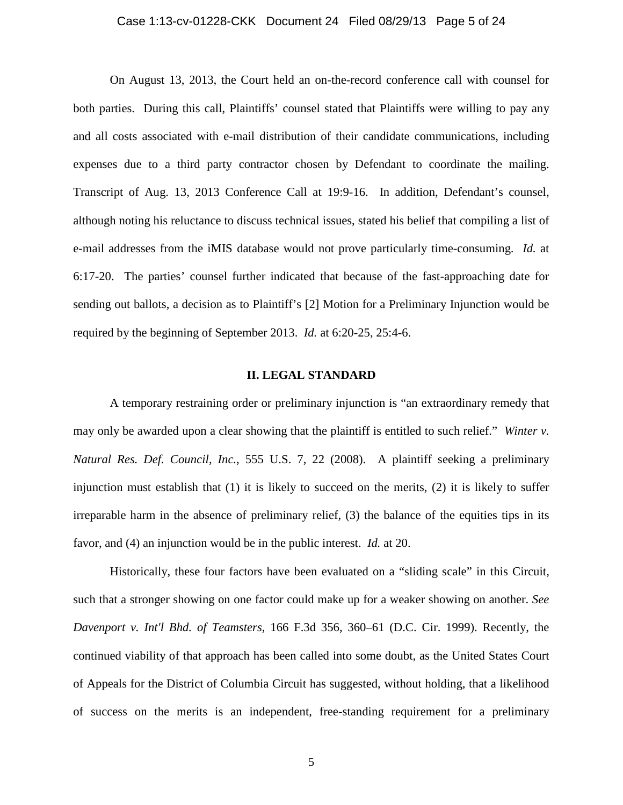## Case 1:13-cv-01228-CKK Document 24 Filed 08/29/13 Page 5 of 24

On August 13, 2013, the Court held an on-the-record conference call with counsel for both parties. During this call, Plaintiffs' counsel stated that Plaintiffs were willing to pay any and all costs associated with e-mail distribution of their candidate communications, including expenses due to a third party contractor chosen by Defendant to coordinate the mailing. Transcript of Aug. 13, 2013 Conference Call at 19:9-16. In addition, Defendant's counsel, although noting his reluctance to discuss technical issues, stated his belief that compiling a list of e-mail addresses from the iMIS database would not prove particularly time-consuming. *Id.* at 6:17-20. The parties' counsel further indicated that because of the fast-approaching date for sending out ballots, a decision as to Plaintiff's [2] Motion for a Preliminary Injunction would be required by the beginning of September 2013. *Id.* at 6:20-25, 25:4-6.

### **II. LEGAL STANDARD**

A temporary restraining order or preliminary injunction is "an extraordinary remedy that may only be awarded upon a clear showing that the plaintiff is entitled to such relief." *Winter v. Natural Res. Def. Council, Inc.*, 555 U.S. 7, 22 (2008). A plaintiff seeking a preliminary injunction must establish that (1) it is likely to succeed on the merits, (2) it is likely to suffer irreparable harm in the absence of preliminary relief, (3) the balance of the equities tips in its favor, and (4) an injunction would be in the public interest. *Id.* at 20.

Historically, these four factors have been evaluated on a "sliding scale" in this Circuit, such that a stronger showing on one factor could make up for a weaker showing on another. *See Davenport v. Int'l Bhd. of Teamsters,* 166 F.3d 356, 360–61 (D.C. Cir. 1999). Recently, the continued viability of that approach has been called into some doubt, as the United States Court of Appeals for the District of Columbia Circuit has suggested, without holding, that a likelihood of success on the merits is an independent, free-standing requirement for a preliminary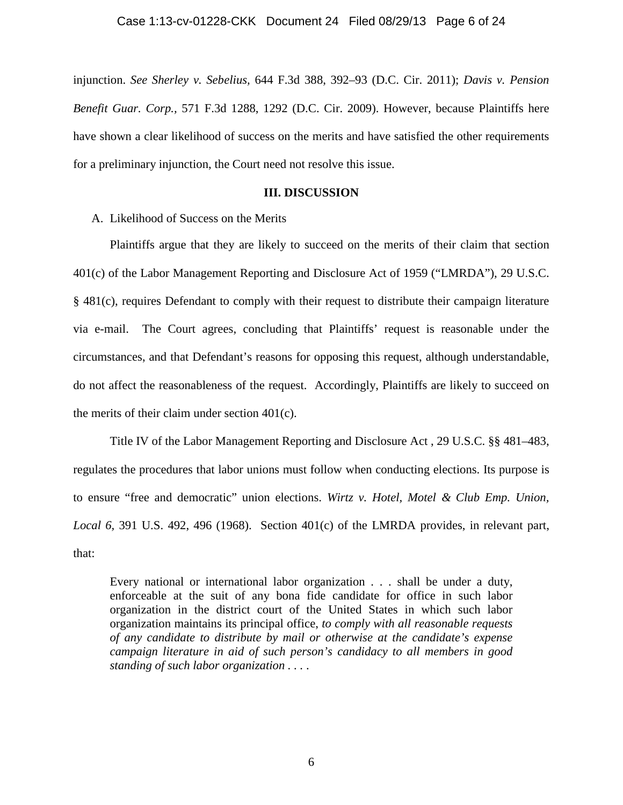injunction. *See Sherley v. Sebelius,* 644 F.3d 388, 392–93 (D.C. Cir. 2011); *Davis v. Pension Benefit Guar. Corp.,* 571 F.3d 1288, 1292 (D.C. Cir. 2009). However, because Plaintiffs here have shown a clear likelihood of success on the merits and have satisfied the other requirements for a preliminary injunction, the Court need not resolve this issue.

## **III. DISCUSSION**

A. Likelihood of Success on the Merits

Plaintiffs argue that they are likely to succeed on the merits of their claim that section 401(c) of the Labor Management Reporting and Disclosure Act of 1959 ("LMRDA"), 29 U.S.C. § 481(c), requires Defendant to comply with their request to distribute their campaign literature via e-mail. The Court agrees, concluding that Plaintiffs' request is reasonable under the circumstances, and that Defendant's reasons for opposing this request, although understandable, do not affect the reasonableness of the request. Accordingly, Plaintiffs are likely to succeed on the merits of their claim under section 401(c).

Title IV of the Labor Management Reporting and Disclosure Act , 29 U.S.C. §§ 481–483, regulates the procedures that labor unions must follow when conducting elections. Its purpose is to ensure "free and democratic" union elections. *Wirtz v. Hotel, Motel & Club Emp. Union, Local 6,* 391 U.S. 492, 496 (1968). Section 401(c) of the LMRDA provides, in relevant part, that:

Every national or international labor organization . . . shall be under a duty, enforceable at the suit of any bona fide candidate for office in such labor organization in the district court of the United States in which such labor organization maintains its principal office, *to comply with all reasonable requests of any candidate to distribute by mail or otherwise at the candidate's expense campaign literature in aid of such person's candidacy to all members in good standing of such labor organization . . .* .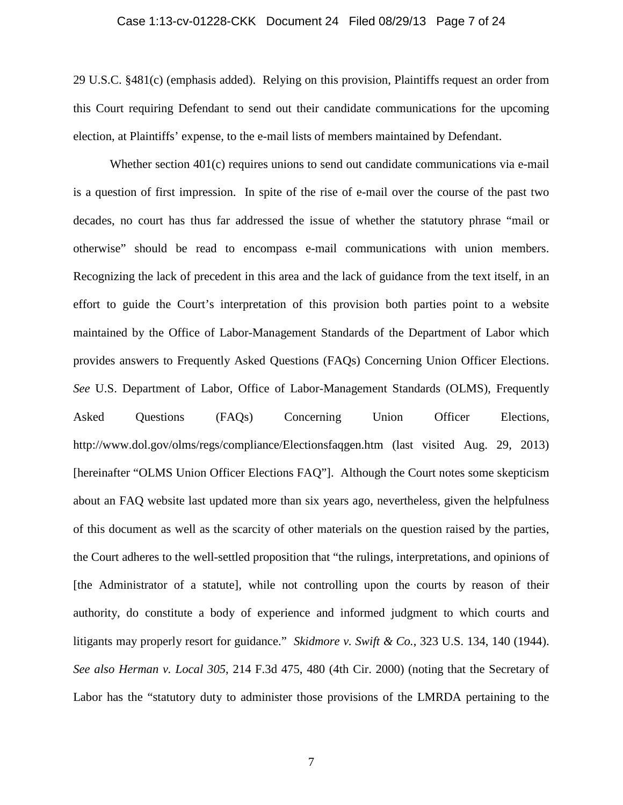### Case 1:13-cv-01228-CKK Document 24 Filed 08/29/13 Page 7 of 24

29 U.S.C. §481(c) (emphasis added). Relying on this provision, Plaintiffs request an order from this Court requiring Defendant to send out their candidate communications for the upcoming election, at Plaintiffs' expense, to the e-mail lists of members maintained by Defendant.

Whether section 401(c) requires unions to send out candidate communications via e-mail is a question of first impression. In spite of the rise of e-mail over the course of the past two decades, no court has thus far addressed the issue of whether the statutory phrase "mail or otherwise" should be read to encompass e-mail communications with union members. Recognizing the lack of precedent in this area and the lack of guidance from the text itself, in an effort to guide the Court's interpretation of this provision both parties point to a website maintained by the Office of Labor-Management Standards of the Department of Labor which provides answers to Frequently Asked Questions (FAQs) Concerning Union Officer Elections. *See* U.S. Department of Labor, Office of Labor-Management Standards (OLMS), Frequently Asked Questions (FAQs) Concerning Union Officer Elections, http://www.dol.gov/olms/regs/compliance/Electionsfaqgen.htm (last visited Aug. 29, 2013) [hereinafter "OLMS Union Officer Elections FAQ"]. Although the Court notes some skepticism about an FAQ website last updated more than six years ago, nevertheless, given the helpfulness of this document as well as the scarcity of other materials on the question raised by the parties, the Court adheres to the well-settled proposition that "the rulings, interpretations, and opinions of [the Administrator of a statute], while not controlling upon the courts by reason of their authority, do constitute a body of experience and informed judgment to which courts and litigants may properly resort for guidance." *Skidmore v. Swift & Co.*, 323 U.S. 134, 140 (1944). *See also Herman v. Local 305*, 214 F.3d 475, 480 (4th Cir. 2000) (noting that the Secretary of Labor has the "statutory duty to administer those provisions of the LMRDA pertaining to the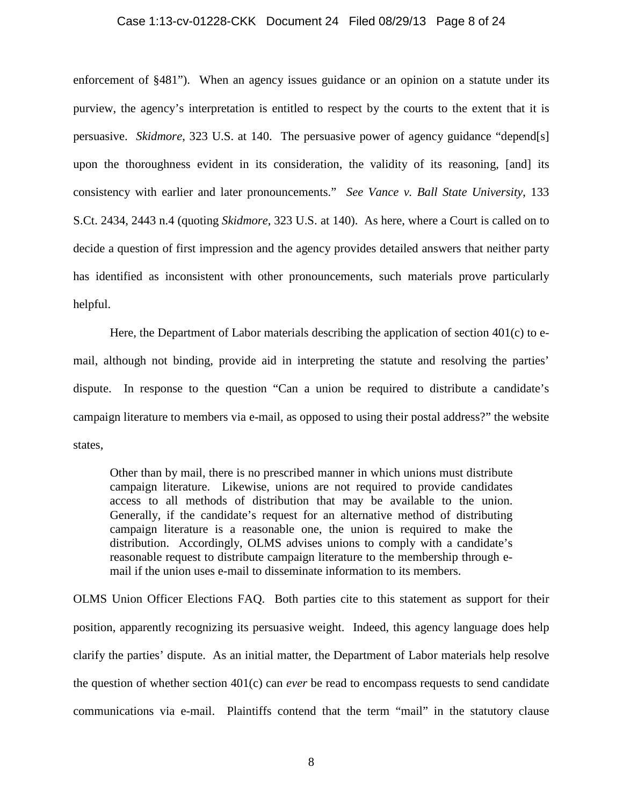### Case 1:13-cv-01228-CKK Document 24 Filed 08/29/13 Page 8 of 24

enforcement of §481"). When an agency issues guidance or an opinion on a statute under its purview, the agency's interpretation is entitled to respect by the courts to the extent that it is persuasive. *Skidmore*, 323 U.S. at 140. The persuasive power of agency guidance "depend[s] upon the thoroughness evident in its consideration, the validity of its reasoning, [and] its consistency with earlier and later pronouncements." *See Vance v. Ball State University*, 133 S.Ct. 2434, 2443 n.4 (quoting *Skidmore*, 323 U.S. at 140). As here, where a Court is called on to decide a question of first impression and the agency provides detailed answers that neither party has identified as inconsistent with other pronouncements, such materials prove particularly helpful.

Here, the Department of Labor materials describing the application of section  $401(c)$  to email, although not binding, provide aid in interpreting the statute and resolving the parties' dispute. In response to the question "Can a union be required to distribute a candidate's campaign literature to members via e-mail, as opposed to using their postal address?" the website states,

Other than by mail, there is no prescribed manner in which unions must distribute campaign literature. Likewise, unions are not required to provide candidates access to all methods of distribution that may be available to the union. Generally, if the candidate's request for an alternative method of distributing campaign literature is a reasonable one, the union is required to make the distribution. Accordingly, OLMS advises unions to comply with a candidate's reasonable request to distribute campaign literature to the membership through email if the union uses e-mail to disseminate information to its members.

OLMS Union Officer Elections FAQ. Both parties cite to this statement as support for their position, apparently recognizing its persuasive weight. Indeed, this agency language does help clarify the parties' dispute. As an initial matter, the Department of Labor materials help resolve the question of whether section 401(c) can *ever* be read to encompass requests to send candidate communications via e-mail. Plaintiffs contend that the term "mail" in the statutory clause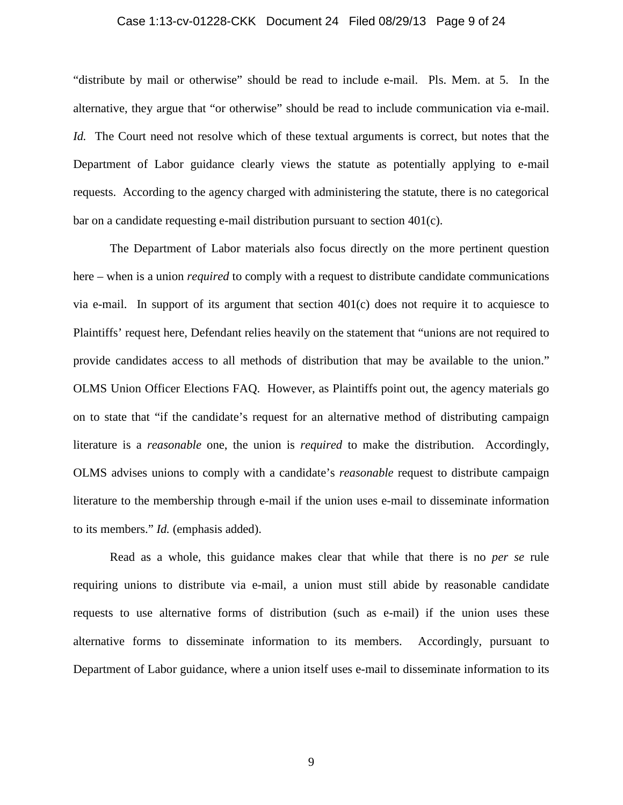## Case 1:13-cv-01228-CKK Document 24 Filed 08/29/13 Page 9 of 24

"distribute by mail or otherwise" should be read to include e-mail. Pls. Mem. at 5. In the alternative, they argue that "or otherwise" should be read to include communication via e-mail. *Id.* The Court need not resolve which of these textual arguments is correct, but notes that the Department of Labor guidance clearly views the statute as potentially applying to e-mail requests. According to the agency charged with administering the statute, there is no categorical bar on a candidate requesting e-mail distribution pursuant to section 401(c).

The Department of Labor materials also focus directly on the more pertinent question here – when is a union *required* to comply with a request to distribute candidate communications via e-mail. In support of its argument that section  $401(c)$  does not require it to acquiesce to Plaintiffs' request here, Defendant relies heavily on the statement that "unions are not required to provide candidates access to all methods of distribution that may be available to the union." OLMS Union Officer Elections FAQ. However, as Plaintiffs point out, the agency materials go on to state that "if the candidate's request for an alternative method of distributing campaign literature is a *reasonable* one, the union is *required* to make the distribution. Accordingly, OLMS advises unions to comply with a candidate's *reasonable* request to distribute campaign literature to the membership through e-mail if the union uses e-mail to disseminate information to its members." *Id.* (emphasis added).

Read as a whole, this guidance makes clear that while that there is no *per se* rule requiring unions to distribute via e-mail, a union must still abide by reasonable candidate requests to use alternative forms of distribution (such as e-mail) if the union uses these alternative forms to disseminate information to its members. Accordingly, pursuant to Department of Labor guidance, where a union itself uses e-mail to disseminate information to its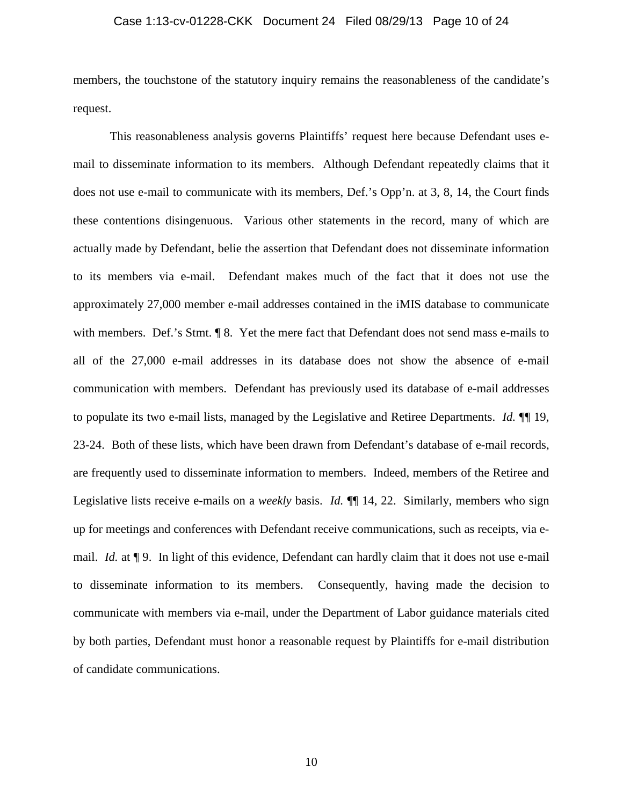### Case 1:13-cv-01228-CKK Document 24 Filed 08/29/13 Page 10 of 24

members, the touchstone of the statutory inquiry remains the reasonableness of the candidate's request.

This reasonableness analysis governs Plaintiffs' request here because Defendant uses email to disseminate information to its members. Although Defendant repeatedly claims that it does not use e-mail to communicate with its members, Def.'s Opp'n. at 3, 8, 14, the Court finds these contentions disingenuous. Various other statements in the record, many of which are actually made by Defendant, belie the assertion that Defendant does not disseminate information to its members via e-mail. Defendant makes much of the fact that it does not use the approximately 27,000 member e-mail addresses contained in the iMIS database to communicate with members. Def.'s Stmt.  $\sqrt{9}$  8. Yet the mere fact that Defendant does not send mass e-mails to all of the 27,000 e-mail addresses in its database does not show the absence of e-mail communication with members. Defendant has previously used its database of e-mail addresses to populate its two e-mail lists, managed by the Legislative and Retiree Departments. *Id.* ¶¶ 19, 23-24. Both of these lists, which have been drawn from Defendant's database of e-mail records, are frequently used to disseminate information to members. Indeed, members of the Retiree and Legislative lists receive e-mails on a *weekly* basis. *Id.* ¶¶ 14, 22. Similarly, members who sign up for meetings and conferences with Defendant receive communications, such as receipts, via email. *Id.* at ¶ 9. In light of this evidence, Defendant can hardly claim that it does not use e-mail to disseminate information to its members. Consequently, having made the decision to communicate with members via e-mail, under the Department of Labor guidance materials cited by both parties, Defendant must honor a reasonable request by Plaintiffs for e-mail distribution of candidate communications.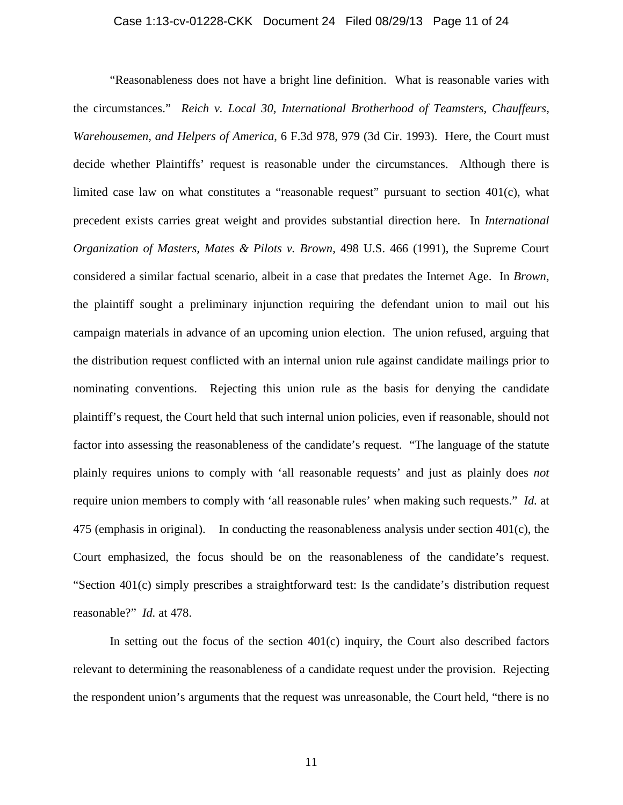## Case 1:13-cv-01228-CKK Document 24 Filed 08/29/13 Page 11 of 24

"Reasonableness does not have a bright line definition. What is reasonable varies with the circumstances." *Reich v. Local 30, International Brotherhood of Teamsters, Chauffeurs, Warehousemen, and Helpers of America*, 6 F.3d 978, 979 (3d Cir. 1993). Here, the Court must decide whether Plaintiffs' request is reasonable under the circumstances. Although there is limited case law on what constitutes a "reasonable request" pursuant to section 401(c), what precedent exists carries great weight and provides substantial direction here. In *International Organization of Masters, Mates & Pilots v. Brown*, 498 U.S. 466 (1991), the Supreme Court considered a similar factual scenario, albeit in a case that predates the Internet Age. In *Brown*, the plaintiff sought a preliminary injunction requiring the defendant union to mail out his campaign materials in advance of an upcoming union election. The union refused, arguing that the distribution request conflicted with an internal union rule against candidate mailings prior to nominating conventions. Rejecting this union rule as the basis for denying the candidate plaintiff's request, the Court held that such internal union policies, even if reasonable, should not factor into assessing the reasonableness of the candidate's request. "The language of the statute plainly requires unions to comply with 'all reasonable requests' and just as plainly does *not* require union members to comply with 'all reasonable rules' when making such requests." *Id.* at 475 (emphasis in original). In conducting the reasonableness analysis under section 401(c), the Court emphasized, the focus should be on the reasonableness of the candidate's request. "Section 401(c) simply prescribes a straightforward test: Is the candidate's distribution request reasonable?" *Id.* at 478.

In setting out the focus of the section  $401(c)$  inquiry, the Court also described factors relevant to determining the reasonableness of a candidate request under the provision. Rejecting the respondent union's arguments that the request was unreasonable, the Court held, "there is no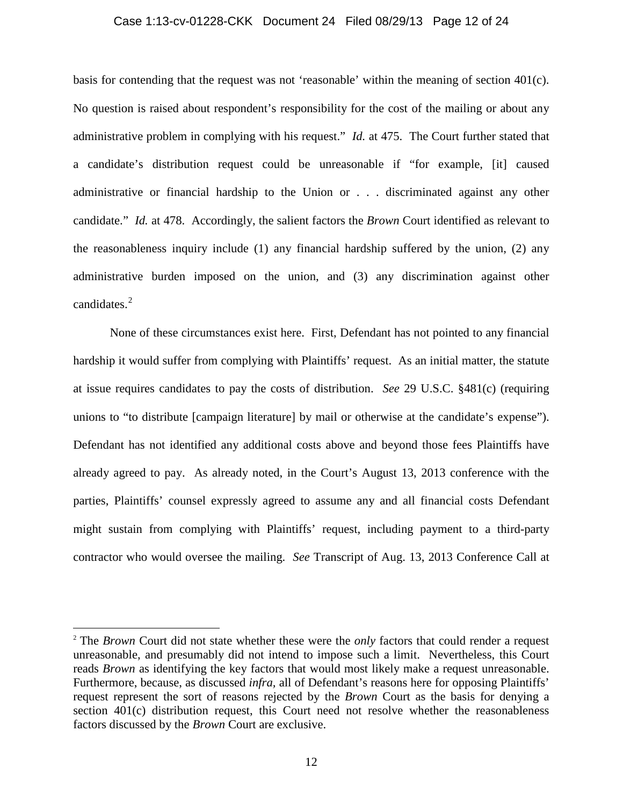#### Case 1:13-cv-01228-CKK Document 24 Filed 08/29/13 Page 12 of 24

basis for contending that the request was not 'reasonable' within the meaning of section 401(c). No question is raised about respondent's responsibility for the cost of the mailing or about any administrative problem in complying with his request." *Id.* at 475. The Court further stated that a candidate's distribution request could be unreasonable if "for example, [it] caused administrative or financial hardship to the Union or . . . discriminated against any other candidate." *Id.* at 478. Accordingly, the salient factors the *Brown* Court identified as relevant to the reasonableness inquiry include (1) any financial hardship suffered by the union, (2) any administrative burden imposed on the union, and (3) any discrimination against other candidates. $^{2}$ 

None of these circumstances exist here. First, Defendant has not pointed to any financial hardship it would suffer from complying with Plaintiffs' request. As an initial matter, the statute at issue requires candidates to pay the costs of distribution. *See* 29 U.S.C. §481(c) (requiring unions to "to distribute [campaign literature] by mail or otherwise at the candidate's expense"). Defendant has not identified any additional costs above and beyond those fees Plaintiffs have already agreed to pay. As already noted, in the Court's August 13, 2013 conference with the parties, Plaintiffs' counsel expressly agreed to assume any and all financial costs Defendant might sustain from complying with Plaintiffs' request, including payment to a third-party contractor who would oversee the mailing. *See* Transcript of Aug. 13, 2013 Conference Call at

l

<sup>2</sup> The *Brown* Court did not state whether these were the *only* factors that could render a request unreasonable, and presumably did not intend to impose such a limit. Nevertheless, this Court reads *Brown* as identifying the key factors that would most likely make a request unreasonable. Furthermore, because, as discussed *infra,* all of Defendant's reasons here for opposing Plaintiffs' request represent the sort of reasons rejected by the *Brown* Court as the basis for denying a section 401(c) distribution request, this Court need not resolve whether the reasonableness factors discussed by the *Brown* Court are exclusive.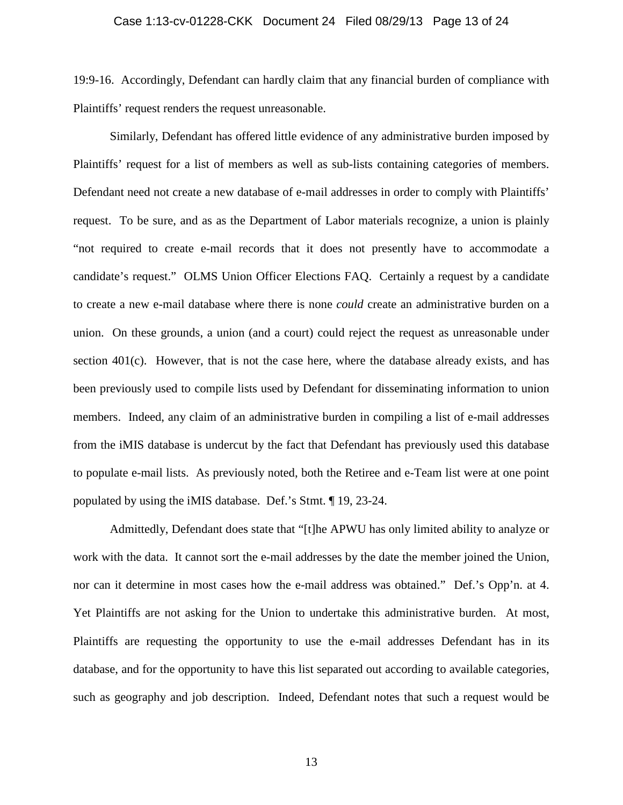19:9-16. Accordingly, Defendant can hardly claim that any financial burden of compliance with Plaintiffs' request renders the request unreasonable.

Similarly, Defendant has offered little evidence of any administrative burden imposed by Plaintiffs' request for a list of members as well as sub-lists containing categories of members. Defendant need not create a new database of e-mail addresses in order to comply with Plaintiffs' request. To be sure, and as as the Department of Labor materials recognize, a union is plainly "not required to create e-mail records that it does not presently have to accommodate a candidate's request." OLMS Union Officer Elections FAQ. Certainly a request by a candidate to create a new e-mail database where there is none *could* create an administrative burden on a union. On these grounds, a union (and a court) could reject the request as unreasonable under section 401(c). However, that is not the case here, where the database already exists, and has been previously used to compile lists used by Defendant for disseminating information to union members. Indeed, any claim of an administrative burden in compiling a list of e-mail addresses from the iMIS database is undercut by the fact that Defendant has previously used this database to populate e-mail lists. As previously noted, both the Retiree and e-Team list were at one point populated by using the iMIS database. Def.'s Stmt. ¶ 19, 23-24.

Admittedly, Defendant does state that "[t]he APWU has only limited ability to analyze or work with the data. It cannot sort the e-mail addresses by the date the member joined the Union, nor can it determine in most cases how the e-mail address was obtained." Def.'s Opp'n. at 4. Yet Plaintiffs are not asking for the Union to undertake this administrative burden. At most, Plaintiffs are requesting the opportunity to use the e-mail addresses Defendant has in its database, and for the opportunity to have this list separated out according to available categories, such as geography and job description. Indeed, Defendant notes that such a request would be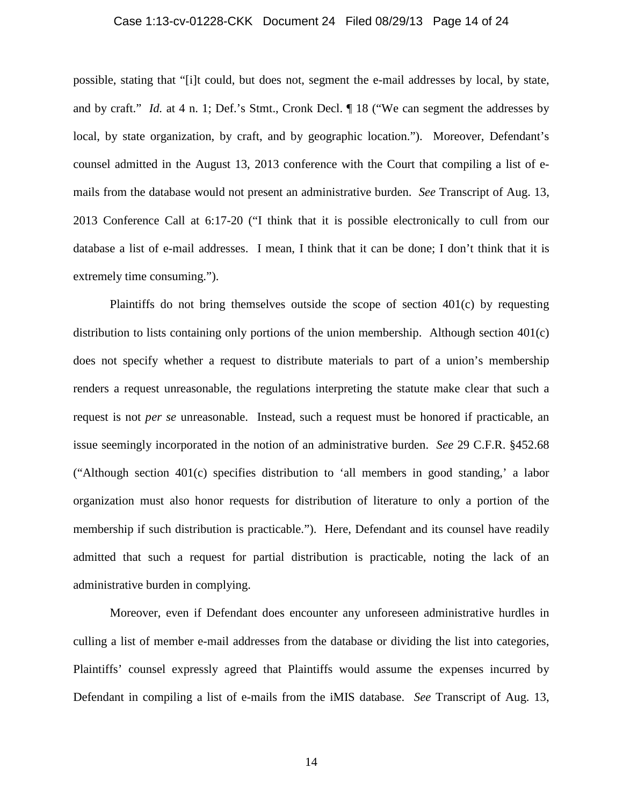## Case 1:13-cv-01228-CKK Document 24 Filed 08/29/13 Page 14 of 24

possible, stating that "[i]t could, but does not, segment the e-mail addresses by local, by state, and by craft." *Id.* at 4 n. 1; Def.'s Stmt., Cronk Decl.  $\parallel$  18 ("We can segment the addresses by local, by state organization, by craft, and by geographic location."). Moreover, Defendant's counsel admitted in the August 13, 2013 conference with the Court that compiling a list of emails from the database would not present an administrative burden. *See* Transcript of Aug. 13, 2013 Conference Call at 6:17-20 ("I think that it is possible electronically to cull from our database a list of e-mail addresses. I mean, I think that it can be done; I don't think that it is extremely time consuming.").

Plaintiffs do not bring themselves outside the scope of section 401(c) by requesting distribution to lists containing only portions of the union membership. Although section 401(c) does not specify whether a request to distribute materials to part of a union's membership renders a request unreasonable, the regulations interpreting the statute make clear that such a request is not *per se* unreasonable. Instead, such a request must be honored if practicable, an issue seemingly incorporated in the notion of an administrative burden. *See* 29 C.F.R. §452.68 ("Although section 401(c) specifies distribution to 'all members in good standing,' a labor organization must also honor requests for distribution of literature to only a portion of the membership if such distribution is practicable."). Here, Defendant and its counsel have readily admitted that such a request for partial distribution is practicable, noting the lack of an administrative burden in complying.

Moreover, even if Defendant does encounter any unforeseen administrative hurdles in culling a list of member e-mail addresses from the database or dividing the list into categories, Plaintiffs' counsel expressly agreed that Plaintiffs would assume the expenses incurred by Defendant in compiling a list of e-mails from the iMIS database. *See* Transcript of Aug. 13,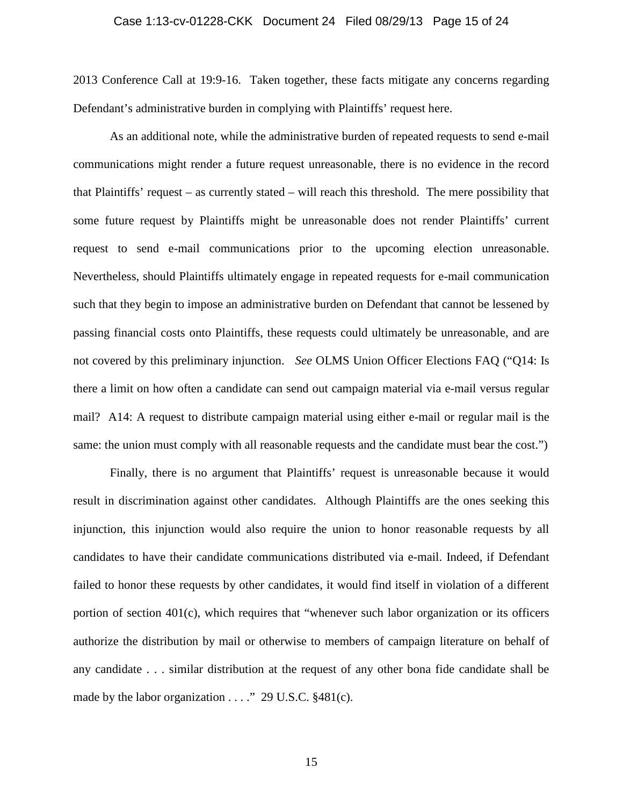## Case 1:13-cv-01228-CKK Document 24 Filed 08/29/13 Page 15 of 24

2013 Conference Call at 19:9-16. Taken together, these facts mitigate any concerns regarding Defendant's administrative burden in complying with Plaintiffs' request here.

As an additional note, while the administrative burden of repeated requests to send e-mail communications might render a future request unreasonable, there is no evidence in the record that Plaintiffs' request – as currently stated – will reach this threshold. The mere possibility that some future request by Plaintiffs might be unreasonable does not render Plaintiffs' current request to send e-mail communications prior to the upcoming election unreasonable. Nevertheless, should Plaintiffs ultimately engage in repeated requests for e-mail communication such that they begin to impose an administrative burden on Defendant that cannot be lessened by passing financial costs onto Plaintiffs, these requests could ultimately be unreasonable, and are not covered by this preliminary injunction. *See* OLMS Union Officer Elections FAQ ("Q14: Is there a limit on how often a candidate can send out campaign material via e-mail versus regular mail? A14: A request to distribute campaign material using either e-mail or regular mail is the same: the union must comply with all reasonable requests and the candidate must bear the cost.")

Finally, there is no argument that Plaintiffs' request is unreasonable because it would result in discrimination against other candidates. Although Plaintiffs are the ones seeking this injunction, this injunction would also require the union to honor reasonable requests by all candidates to have their candidate communications distributed via e-mail. Indeed, if Defendant failed to honor these requests by other candidates, it would find itself in violation of a different portion of section 401(c), which requires that "whenever such labor organization or its officers authorize the distribution by mail or otherwise to members of campaign literature on behalf of any candidate . . . similar distribution at the request of any other bona fide candidate shall be made by the labor organization . . . ." 29 U.S.C. §481(c).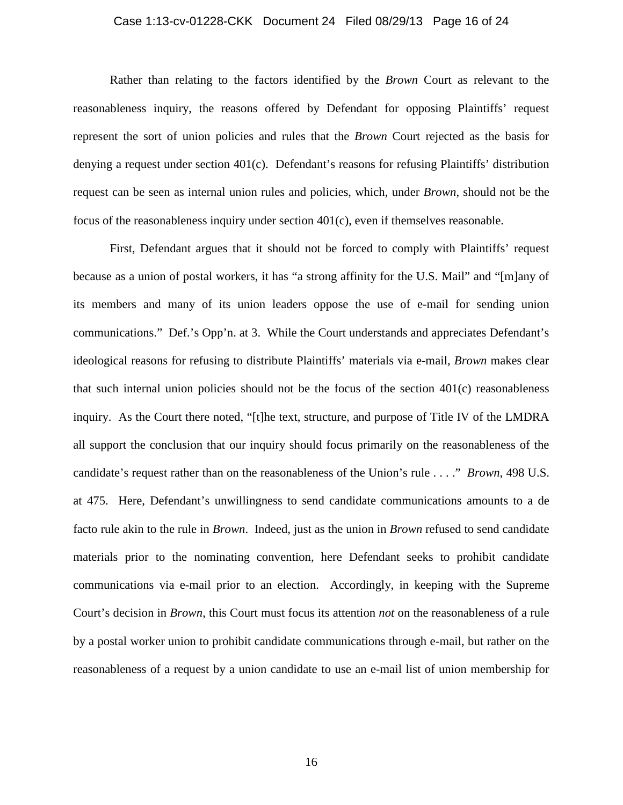## Case 1:13-cv-01228-CKK Document 24 Filed 08/29/13 Page 16 of 24

Rather than relating to the factors identified by the *Brown* Court as relevant to the reasonableness inquiry, the reasons offered by Defendant for opposing Plaintiffs' request represent the sort of union policies and rules that the *Brown* Court rejected as the basis for denying a request under section 401(c). Defendant's reasons for refusing Plaintiffs' distribution request can be seen as internal union rules and policies, which, under *Brown*, should not be the focus of the reasonableness inquiry under section 401(c), even if themselves reasonable.

First, Defendant argues that it should not be forced to comply with Plaintiffs' request because as a union of postal workers, it has "a strong affinity for the U.S. Mail" and "[m]any of its members and many of its union leaders oppose the use of e-mail for sending union communications." Def.'s Opp'n. at 3. While the Court understands and appreciates Defendant's ideological reasons for refusing to distribute Plaintiffs' materials via e-mail, *Brown* makes clear that such internal union policies should not be the focus of the section 401(c) reasonableness inquiry. As the Court there noted, "[t]he text, structure, and purpose of Title IV of the LMDRA all support the conclusion that our inquiry should focus primarily on the reasonableness of the candidate's request rather than on the reasonableness of the Union's rule . . . ." *Brown*, 498 U.S. at 475. Here, Defendant's unwillingness to send candidate communications amounts to a de facto rule akin to the rule in *Brown*. Indeed, just as the union in *Brown* refused to send candidate materials prior to the nominating convention, here Defendant seeks to prohibit candidate communications via e-mail prior to an election. Accordingly, in keeping with the Supreme Court's decision in *Brown*, this Court must focus its attention *not* on the reasonableness of a rule by a postal worker union to prohibit candidate communications through e-mail, but rather on the reasonableness of a request by a union candidate to use an e-mail list of union membership for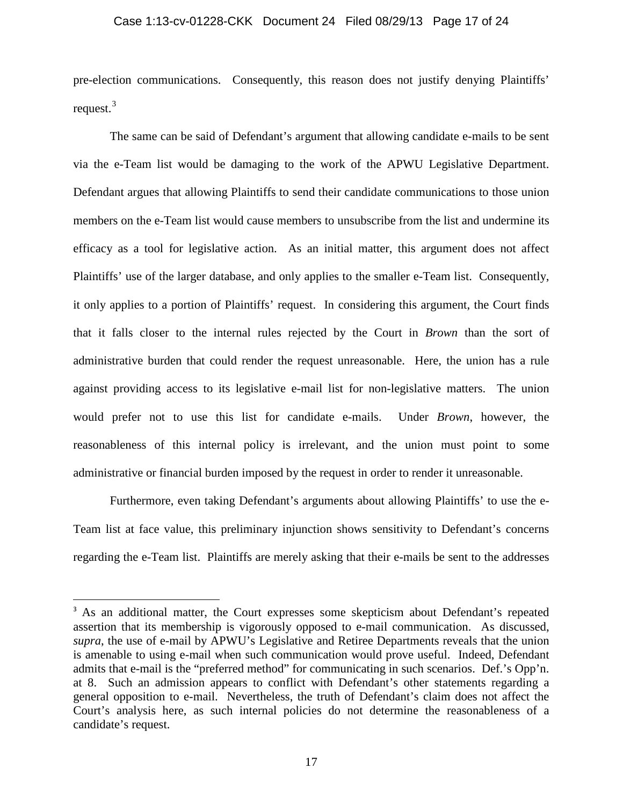### Case 1:13-cv-01228-CKK Document 24 Filed 08/29/13 Page 17 of 24

pre-election communications. Consequently, this reason does not justify denying Plaintiffs' request. $3$ 

The same can be said of Defendant's argument that allowing candidate e-mails to be sent via the e-Team list would be damaging to the work of the APWU Legislative Department. Defendant argues that allowing Plaintiffs to send their candidate communications to those union members on the e-Team list would cause members to unsubscribe from the list and undermine its efficacy as a tool for legislative action. As an initial matter, this argument does not affect Plaintiffs' use of the larger database, and only applies to the smaller e-Team list. Consequently, it only applies to a portion of Plaintiffs' request. In considering this argument, the Court finds that it falls closer to the internal rules rejected by the Court in *Brown* than the sort of administrative burden that could render the request unreasonable. Here, the union has a rule against providing access to its legislative e-mail list for non-legislative matters. The union would prefer not to use this list for candidate e-mails. Under *Brown*, however, the reasonableness of this internal policy is irrelevant, and the union must point to some administrative or financial burden imposed by the request in order to render it unreasonable.

Furthermore, even taking Defendant's arguments about allowing Plaintiffs' to use the e-Team list at face value, this preliminary injunction shows sensitivity to Defendant's concerns regarding the e-Team list. Plaintiffs are merely asking that their e-mails be sent to the addresses

<sup>&</sup>lt;sup>3</sup> As an additional matter, the Court expresses some skepticism about Defendant's repeated assertion that its membership is vigorously opposed to e-mail communication. As discussed, *supra*, the use of e-mail by APWU's Legislative and Retiree Departments reveals that the union is amenable to using e-mail when such communication would prove useful. Indeed, Defendant admits that e-mail is the "preferred method" for communicating in such scenarios. Def.'s Opp'n. at 8. Such an admission appears to conflict with Defendant's other statements regarding a general opposition to e-mail. Nevertheless, the truth of Defendant's claim does not affect the Court's analysis here, as such internal policies do not determine the reasonableness of a candidate's request.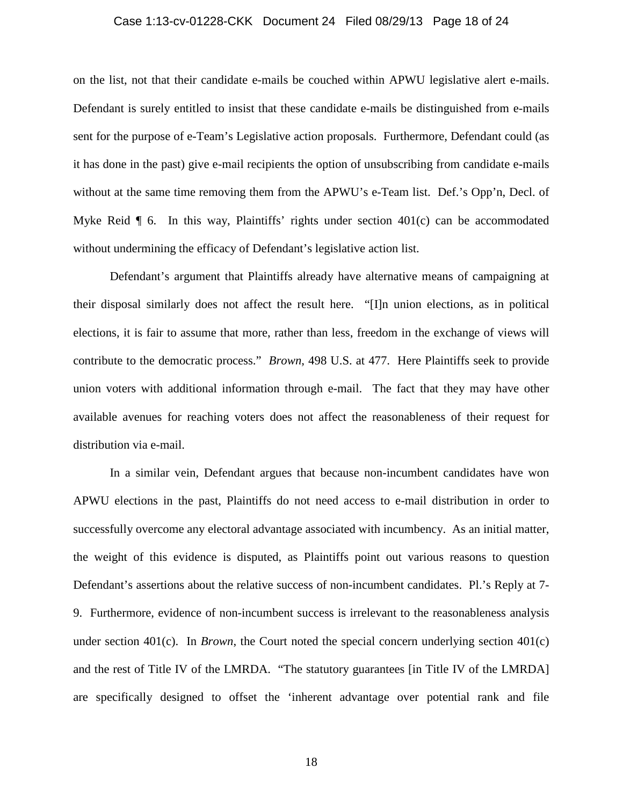## Case 1:13-cv-01228-CKK Document 24 Filed 08/29/13 Page 18 of 24

on the list, not that their candidate e-mails be couched within APWU legislative alert e-mails. Defendant is surely entitled to insist that these candidate e-mails be distinguished from e-mails sent for the purpose of e-Team's Legislative action proposals. Furthermore, Defendant could (as it has done in the past) give e-mail recipients the option of unsubscribing from candidate e-mails without at the same time removing them from the APWU's e-Team list. Def.'s Opp'n, Decl. of Myke Reid  $\parallel$  6. In this way, Plaintiffs' rights under section 401(c) can be accommodated without undermining the efficacy of Defendant's legislative action list.

Defendant's argument that Plaintiffs already have alternative means of campaigning at their disposal similarly does not affect the result here. "[I]n union elections, as in political elections, it is fair to assume that more, rather than less, freedom in the exchange of views will contribute to the democratic process." *Brown*, 498 U.S. at 477. Here Plaintiffs seek to provide union voters with additional information through e-mail. The fact that they may have other available avenues for reaching voters does not affect the reasonableness of their request for distribution via e-mail.

In a similar vein, Defendant argues that because non-incumbent candidates have won APWU elections in the past, Plaintiffs do not need access to e-mail distribution in order to successfully overcome any electoral advantage associated with incumbency. As an initial matter, the weight of this evidence is disputed, as Plaintiffs point out various reasons to question Defendant's assertions about the relative success of non-incumbent candidates. Pl.'s Reply at 7- 9. Furthermore, evidence of non-incumbent success is irrelevant to the reasonableness analysis under section 401(c). In *Brown*, the Court noted the special concern underlying section 401(c) and the rest of Title IV of the LMRDA. "The statutory guarantees [in Title IV of the LMRDA] are specifically designed to offset the 'inherent advantage over potential rank and file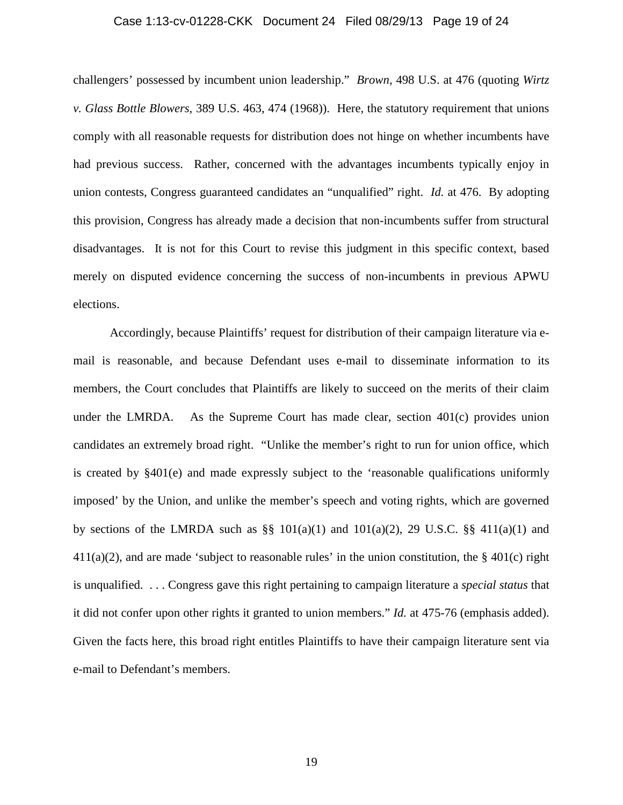### Case 1:13-cv-01228-CKK Document 24 Filed 08/29/13 Page 19 of 24

challengers' possessed by incumbent union leadership." *Brown*, 498 U.S. at 476 (quoting *Wirtz v. Glass Bottle Blowers*, 389 U.S. 463, 474 (1968)). Here, the statutory requirement that unions comply with all reasonable requests for distribution does not hinge on whether incumbents have had previous success. Rather, concerned with the advantages incumbents typically enjoy in union contests, Congress guaranteed candidates an "unqualified" right. *Id.* at 476. By adopting this provision, Congress has already made a decision that non-incumbents suffer from structural disadvantages. It is not for this Court to revise this judgment in this specific context, based merely on disputed evidence concerning the success of non-incumbents in previous APWU elections.

Accordingly, because Plaintiffs' request for distribution of their campaign literature via email is reasonable, and because Defendant uses e-mail to disseminate information to its members, the Court concludes that Plaintiffs are likely to succeed on the merits of their claim under the LMRDA.As the Supreme Court has made clear, section 401(c) provides union candidates an extremely broad right. "Unlike the member's right to run for union office, which is created by  $§401(e)$  and made expressly subject to the 'reasonable qualifications uniformly imposed' by the Union, and unlike the member's speech and voting rights, which are governed by sections of the LMRDA such as  $\S$  101(a)(1) and 101(a)(2), 29 U.S.C.  $\S$  411(a)(1) and  $411(a)(2)$ , and are made 'subject to reasonable rules' in the union constitution, the § 401(c) right is unqualified. . . . Congress gave this right pertaining to campaign literature a *special status* that it did not confer upon other rights it granted to union members." *Id.* at 475-76 (emphasis added). Given the facts here, this broad right entitles Plaintiffs to have their campaign literature sent via e-mail to Defendant's members.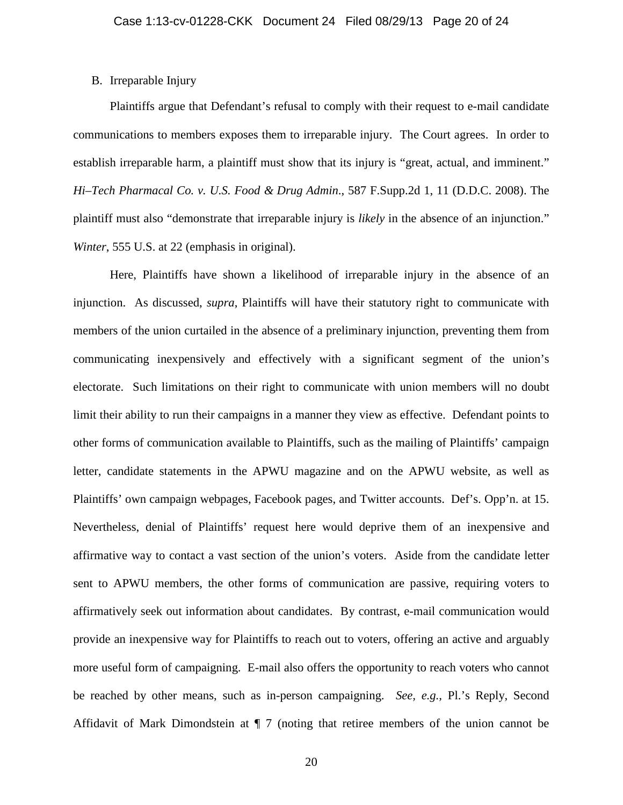## B. Irreparable Injury

Plaintiffs argue that Defendant's refusal to comply with their request to e-mail candidate communications to members exposes them to irreparable injury. The Court agrees. In order to establish irreparable harm, a plaintiff must show that its injury is "great, actual, and imminent." *Hi–Tech Pharmacal Co. v. U.S. Food & Drug Admin*., 587 F.Supp.2d 1, 11 (D.D.C. 2008). The plaintiff must also "demonstrate that irreparable injury is *likely* in the absence of an injunction." *Winter*, 555 U.S. at 22 (emphasis in original).

Here, Plaintiffs have shown a likelihood of irreparable injury in the absence of an injunction. As discussed, *supra*, Plaintiffs will have their statutory right to communicate with members of the union curtailed in the absence of a preliminary injunction, preventing them from communicating inexpensively and effectively with a significant segment of the union's electorate. Such limitations on their right to communicate with union members will no doubt limit their ability to run their campaigns in a manner they view as effective. Defendant points to other forms of communication available to Plaintiffs, such as the mailing of Plaintiffs' campaign letter, candidate statements in the APWU magazine and on the APWU website, as well as Plaintiffs' own campaign webpages, Facebook pages, and Twitter accounts. Def's. Opp'n. at 15. Nevertheless, denial of Plaintiffs' request here would deprive them of an inexpensive and affirmative way to contact a vast section of the union's voters. Aside from the candidate letter sent to APWU members, the other forms of communication are passive, requiring voters to affirmatively seek out information about candidates. By contrast, e-mail communication would provide an inexpensive way for Plaintiffs to reach out to voters, offering an active and arguably more useful form of campaigning. E-mail also offers the opportunity to reach voters who cannot be reached by other means, such as in-person campaigning. *See, e.g.,* Pl.'s Reply, Second Affidavit of Mark Dimondstein at ¶ 7 (noting that retiree members of the union cannot be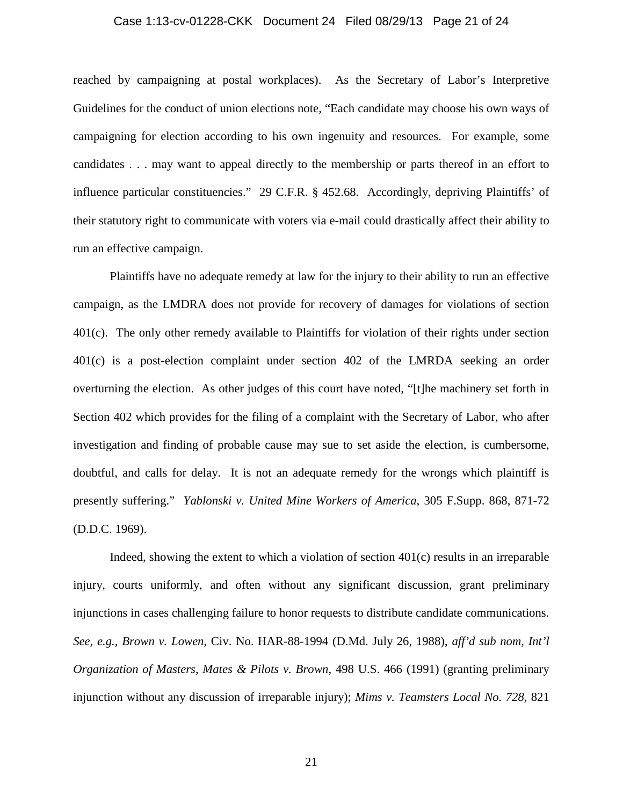## Case 1:13-cv-01228-CKK Document 24 Filed 08/29/13 Page 21 of 24

reached by campaigning at postal workplaces). As the Secretary of Labor's Interpretive Guidelines for the conduct of union elections note, "Each candidate may choose his own ways of campaigning for election according to his own ingenuity and resources. For example, some candidates . . . may want to appeal directly to the membership or parts thereof in an effort to influence particular constituencies." 29 C.F.R. § 452.68. Accordingly, depriving Plaintiffs' of their statutory right to communicate with voters via e-mail could drastically affect their ability to run an effective campaign.

Plaintiffs have no adequate remedy at law for the injury to their ability to run an effective campaign, as the LMDRA does not provide for recovery of damages for violations of section 401(c). The only other remedy available to Plaintiffs for violation of their rights under section 401(c) is a post-election complaint under section 402 of the LMRDA seeking an order overturning the election. As other judges of this court have noted, "[t]he machinery set forth in Section 402 which provides for the filing of a complaint with the Secretary of Labor, who after investigation and finding of probable cause may sue to set aside the election, is cumbersome, doubtful, and calls for delay. It is not an adequate remedy for the wrongs which plaintiff is presently suffering." *Yablonski v. United Mine Workers of America*, 305 F.Supp. 868, 871-72 (D.D.C. 1969).

Indeed, showing the extent to which a violation of section 401(c) results in an irreparable injury, courts uniformly, and often without any significant discussion, grant preliminary injunctions in cases challenging failure to honor requests to distribute candidate communications. *See, e.g., Brown v. Lowen*, Civ. No. HAR-88-1994 (D.Md. July 26, 1988), *aff'd sub nom, Int'l Organization of Masters, Mates & Pilots v. Brown*, 498 U.S. 466 (1991) (granting preliminary injunction without any discussion of irreparable injury); *Mims v. Teamsters Local No. 728,* 821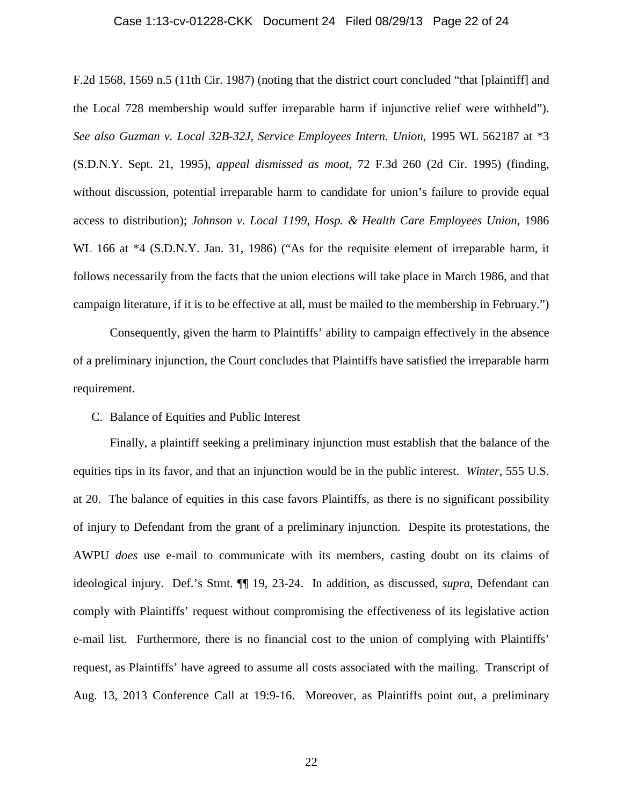### Case 1:13-cv-01228-CKK Document 24 Filed 08/29/13 Page 22 of 24

F.2d 1568, 1569 n.5 (11th Cir. 1987) (noting that the district court concluded "that [plaintiff] and the Local 728 membership would suffer irreparable harm if injunctive relief were withheld"). *See also Guzman v. Local 32B-32J, Service Employees Intern. Union*, 1995 WL 562187 at \*3 (S.D.N.Y. Sept. 21, 1995), *appeal dismissed as moot*, 72 F.3d 260 (2d Cir. 1995) (finding, without discussion, potential irreparable harm to candidate for union's failure to provide equal access to distribution); *Johnson v. Local 1199, Hosp. & Health Care Employees Union*, 1986 WL 166 at  $*4$  (S.D.N.Y. Jan. 31, 1986) ("As for the requisite element of irreparable harm, it follows necessarily from the facts that the union elections will take place in March 1986, and that campaign literature, if it is to be effective at all, must be mailed to the membership in February.")

Consequently, given the harm to Plaintiffs' ability to campaign effectively in the absence of a preliminary injunction, the Court concludes that Plaintiffs have satisfied the irreparable harm requirement.

# C. Balance of Equities and Public Interest

Finally, a plaintiff seeking a preliminary injunction must establish that the balance of the equities tips in its favor, and that an injunction would be in the public interest. *Winter*, 555 U.S. at 20. The balance of equities in this case favors Plaintiffs, as there is no significant possibility of injury to Defendant from the grant of a preliminary injunction. Despite its protestations, the AWPU *does* use e-mail to communicate with its members, casting doubt on its claims of ideological injury. Def.'s Stmt. ¶¶ 19, 23-24. In addition, as discussed, *supra*, Defendant can comply with Plaintiffs' request without compromising the effectiveness of its legislative action e-mail list. Furthermore, there is no financial cost to the union of complying with Plaintiffs' request, as Plaintiffs' have agreed to assume all costs associated with the mailing. Transcript of Aug. 13, 2013 Conference Call at 19:9-16. Moreover, as Plaintiffs point out, a preliminary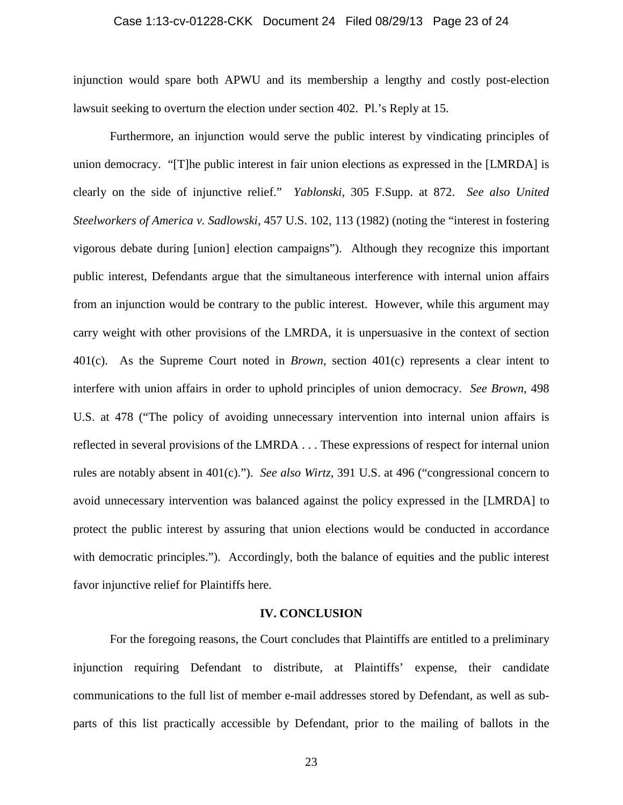## Case 1:13-cv-01228-CKK Document 24 Filed 08/29/13 Page 23 of 24

injunction would spare both APWU and its membership a lengthy and costly post-election lawsuit seeking to overturn the election under section 402. Pl.'s Reply at 15.

Furthermore, an injunction would serve the public interest by vindicating principles of union democracy. "[T]he public interest in fair union elections as expressed in the [LMRDA] is clearly on the side of injunctive relief." *Yablonski*, 305 F.Supp. at 872. *See also United Steelworkers of America v. Sadlowski*, 457 U.S. 102, 113 (1982) (noting the "interest in fostering vigorous debate during [union] election campaigns"). Although they recognize this important public interest, Defendants argue that the simultaneous interference with internal union affairs from an injunction would be contrary to the public interest. However, while this argument may carry weight with other provisions of the LMRDA, it is unpersuasive in the context of section 401(c). As the Supreme Court noted in *Brown*, section 401(c) represents a clear intent to interfere with union affairs in order to uphold principles of union democracy. *See Brown*, 498 U.S. at 478 ("The policy of avoiding unnecessary intervention into internal union affairs is reflected in several provisions of the LMRDA . . . These expressions of respect for internal union rules are notably absent in 401(c)."). *See also Wirtz*, 391 U.S. at 496 ("congressional concern to avoid unnecessary intervention was balanced against the policy expressed in the [LMRDA] to protect the public interest by assuring that union elections would be conducted in accordance with democratic principles."). Accordingly, both the balance of equities and the public interest favor injunctive relief for Plaintiffs here.

## **IV. CONCLUSION**

For the foregoing reasons, the Court concludes that Plaintiffs are entitled to a preliminary injunction requiring Defendant to distribute, at Plaintiffs' expense, their candidate communications to the full list of member e-mail addresses stored by Defendant, as well as subparts of this list practically accessible by Defendant, prior to the mailing of ballots in the